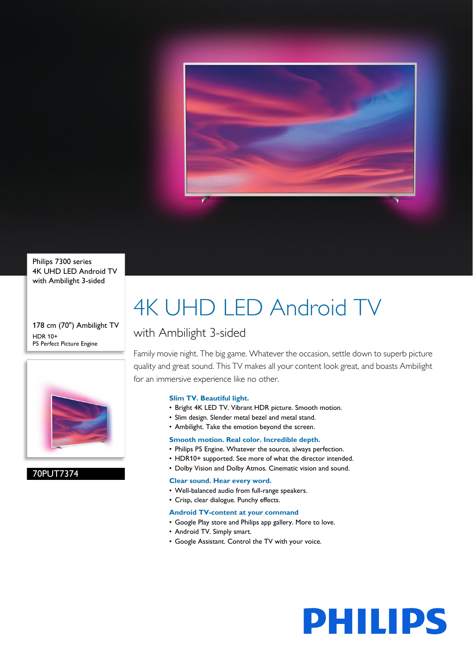

Philips 7300 series 4K UHD LED Android TV with Ambilight 3-sided

178 cm (70") Ambilight TV HDR 10+ P5 Perfect Picture Engine



70PUT7374

## 4K UHD LED Android TV

### with Ambilight 3-sided

Family movie night. The big game. Whatever the occasion, settle down to superb picture quality and great sound. This TV makes all your content look great, and boasts Ambilight for an immersive experience like no other.

### **Slim TV. Beautiful light.**

- Bright 4K LED TV. Vibrant HDR picture. Smooth motion.
- Slim design. Slender metal bezel and metal stand.
- Ambilight. Take the emotion beyond the screen.

### **Smooth motion. Real color. Incredible depth.**

- Philips P5 Engine. Whatever the source, always perfection.
- HDR10+ supported. See more of what the director intended.
- Dolby Vision and Dolby Atmos. Cinematic vision and sound.

### **Clear sound. Hear every word.**

- Well-balanced audio from full-range speakers.
- Crisp, clear dialogue. Punchy effects.

### **Android TV-content at your command**

- Google Play store and Philips app gallery. More to love.
- Android TV. Simply smart.
- Google Assistant. Control the TV with your voice.

# **PHILIPS**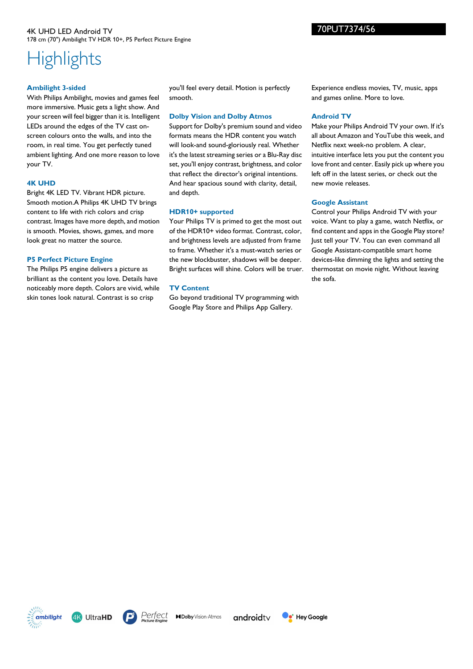### 4K UHD LED Android TV 178 cm (70") Ambilight TV HDR 10+, P5 Perfect Picture Engine

### **Highlights**

### **Ambilight 3-sided**

With Philips Ambilight, movies and games feel more immersive. Music gets a light show. And your screen will feel bigger than it is. Intelligent LEDs around the edges of the TV cast onscreen colours onto the walls, and into the room, in real time. You get perfectly tuned ambient lighting. And one more reason to love your TV.

### **4K UHD**

Bright 4K LED TV. Vibrant HDR picture. Smooth motion.A Philips 4K UHD TV brings content to life with rich colors and crisp contrast. Images have more depth, and motion is smooth. Movies, shows, games, and more look great no matter the source.

### **P5 Perfect Picture Engine**

The Philips P5 engine delivers a picture as brilliant as the content you love. Details have noticeably more depth. Colors are vivid, while skin tones look natural. Contrast is so crisp

you'll feel every detail. Motion is perfectly smooth.

### **Dolby Vision and Dolby Atmos**

Support for Dolby's premium sound and video formats means the HDR content you watch will look-and sound-gloriously real. Whether it's the latest streaming series or a Blu-Ray disc set, you'll enjoy contrast, brightness, and color that reflect the director's original intentions. And hear spacious sound with clarity, detail, and depth.

### **HDR10+ supported**

Your Philips TV is primed to get the most out of the HDR10+ video format. Contrast, color, and brightness levels are adjusted from frame to frame. Whether it's a must-watch series or the new blockbuster, shadows will be deeper. Bright surfaces will shine. Colors will be truer.

### **TV Content**

Go beyond traditional TV programming with Google Play Store and Philips App Gallery.

Experience endless movies, TV, music, apps and games online. More to love.

### **Android TV**

Make your Philips Android TV your own. If it's all about Amazon and YouTube this week, and Netflix next week-no problem. A clear, intuitive interface lets you put the content you love front and center. Easily pick up where you left off in the latest series, or check out the new movie releases.

### **Google Assistant**

Control your Philips Android TV with your voice. Want to play a game, watch Netflix, or find content and apps in the Google Play store? Just tell your TV. You can even command all Google Assistant-compatible smart home devices-like dimming the lights and setting the thermostat on movie night. Without leaving the sofa.

**4K UltraHD** ambilight